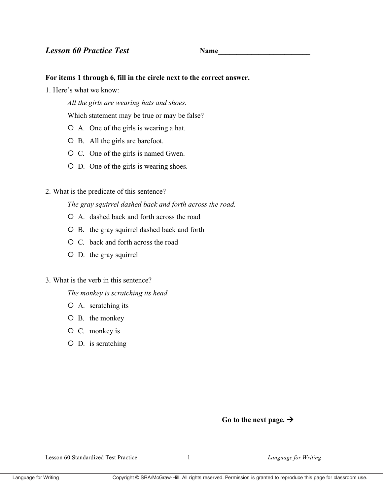**Name** 

## For items 1 through 6, fill in the circle next to the correct answer.

1. Here's what we know:

All the girls are wearing hats and shoes.

Which statement may be true or may be false?

- O A. One of the girls is wearing a hat.
- O B. All the girls are barefoot.
- O C. One of the girls is named Gwen.
- O D. One of the girls is wearing shoes.

# 2. What is the predicate of this sentence?

The gray squirrel dashed back and forth across the road.

- O A. dashed back and forth across the road
- O B. the gray squirrel dashed back and forth
- O C, back and forth across the road
- $O$  D. the gray squirrel

## 3. What is the verb in this sentence?

The monkey is scratching its head.

- $O$  A. scratching its
- $O$  B. the monkey
- $O$  C. monkey is
- $O$  D. is scratching

# Go to the next page.  $\rightarrow$

Lesson 60 Standardized Test Practice

 $\mathbf{1}$ 

Language for Writing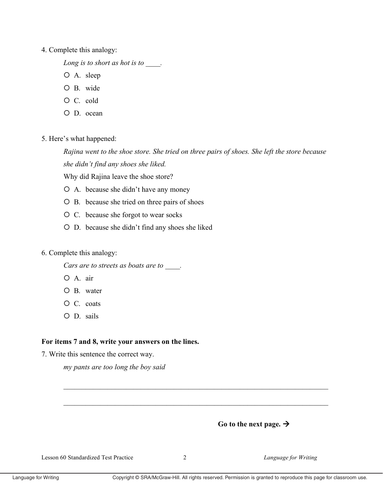#### 4. Complete this analogy:

Long is to short as hot is to .

- O A. sleep
- O B. wide
- $O C.$  cold
- O D. ocean
- 5. Here's what happened:

Rajina went to the shoe store. She tried on three pairs of shoes. She left the store because she didn't find any shoes she liked.

Why did Rajina leave the shoe store?

- O A. because she didn't have any money
- O B. because she tried on three pairs of shoes
- O C. because she forgot to wear socks
- O D. because she didn't find any shoes she liked
- 6. Complete this analogy:

Cars are to streets as boats are to  $\qquad \qquad$ .

- O A. air
- $O$  B. water
- $O$  C. coats
- O D. sails

## For items 7 and 8, write your answers on the lines.

7. Write this sentence the correct way.

my pants are too long the boy said



Lesson 60 Standardized Test Practice

Language for Writing